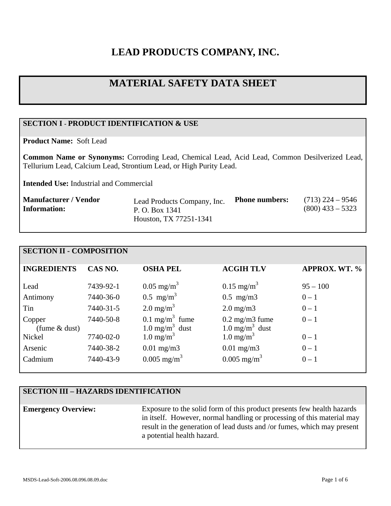# **LEAD PRODUCTS COMPANY, INC.**

## **MATERIAL SAFETY DATA SHEET**

#### **SECTION I - PRODUCT IDENTIFICATION & USE**

**Product Name:** Soft Lead

**Common Name or Synonyms:** Corroding Lead, Chemical Lead, Acid Lead, Common Desilverized Lead, Tellurium Lead, Calcium Lead, Strontium Lead, or High Purity Lead.

**Intended Use:** Industrial and Commercial

| <b>Manufacturer / Vendor</b> | Lead Products Company, Inc. | <b>Phone numbers:</b> | $(713)$ 224 – 9546 |
|------------------------------|-----------------------------|-----------------------|--------------------|
| <b>Information:</b>          | P. O. Box 1341              |                       | $(800)$ 433 – 5323 |
|                              | Houston, TX 77251-1341      |                       |                    |

### **SECTION II - COMPOSITION**

| <b>INGREDIENTS</b> | CAS NO.   | <b>OSHA PEL</b>              | <b>ACGIH TLV</b>             | <b>APPROX. WT. %</b> |
|--------------------|-----------|------------------------------|------------------------------|----------------------|
|                    |           |                              |                              |                      |
| Lead               | 7439-92-1 | $0.05 \text{ mg/m}^3$        | $0.15 \text{ mg/m}^3$        | $95 - 100$           |
| Antimony           | 7440-36-0 | $0.5$ mg/m <sup>3</sup>      | $0.5$ mg/m $3$               | $0 - 1$              |
| Tin                | 7440-31-5 | $2.0 \text{ mg/m}^3$         | $2.0 \text{ mg/m}$           | $0 - 1$              |
| Copper             | 7440-50-8 | $0.1$ mg/m <sup>3</sup> fume | $0.2$ mg/m3 fume             | $0 - 1$              |
| (fume $&$ dust)    |           | $1.0 \text{ mg/m}^3$ dust    | $1.0$ mg/m <sup>3</sup> dust |                      |
| Nickel             | 7740-02-0 | $1.0 \text{ mg/m}^3$         | $1.0 \text{ mg/m}^3$         | $0 - 1$              |
| Arsenic            | 7440-38-2 | $0.01$ mg/m3                 | $0.01$ mg/m3                 | $0 - 1$              |
| Cadmium            | 7440-43-9 | $0.005$ mg/m <sup>3</sup>    | $0.005$ mg/m <sup>3</sup>    | $0 - 1$              |
|                    |           |                              |                              |                      |

#### **SECTION III – HAZARDS IDENTIFICATION**

**Emergency Overview:** Exposure to the solid form of this product presents few health hazards in itself. However, normal handling or processing of this material may result in the generation of lead dusts and /or fumes, which may present a potential health hazard.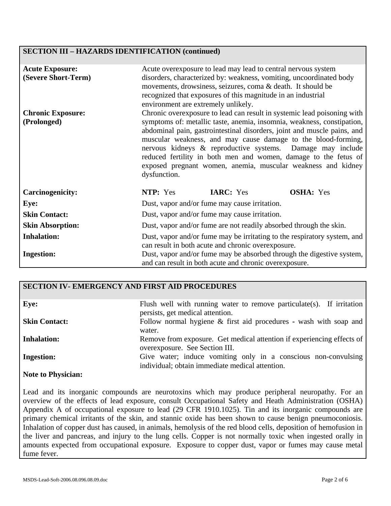#### **SECTION III – HAZARDS IDENTIFICATION (continued)**

| <b>Acute Exposure:</b><br>(Severe Short-Term) | Acute overexposure to lead may lead to central nervous system<br>disorders, characterized by: weakness, vomiting, uncoordinated body<br>movements, drowsiness, seizures, coma & death. It should be<br>recognized that exposures of this magnitude in an industrial<br>environment are extremely unlikely.                                                                                                                                                                                                     |  |  |
|-----------------------------------------------|----------------------------------------------------------------------------------------------------------------------------------------------------------------------------------------------------------------------------------------------------------------------------------------------------------------------------------------------------------------------------------------------------------------------------------------------------------------------------------------------------------------|--|--|
| <b>Chronic Exposure:</b><br>(Prolonged)       | Chronic overexposure to lead can result in systemic lead poisoning with<br>symptoms of: metallic taste, anemia, insomnia, weakness, constipation,<br>abdominal pain, gastrointestinal disorders, joint and muscle pains, and<br>muscular weakness, and may cause damage to the blood-forming,<br>nervous kidneys & reproductive systems. Damage may include<br>reduced fertility in both men and women, damage to the fetus of<br>exposed pregnant women, anemia, muscular weakness and kidney<br>dysfunction. |  |  |
| <b>Carcinogenicity:</b>                       | <b>IARC:</b> Yes<br>NTP: Yes<br><b>OSHA:</b> Yes                                                                                                                                                                                                                                                                                                                                                                                                                                                               |  |  |
| Eye:                                          | Dust, vapor and/or fume may cause irritation.                                                                                                                                                                                                                                                                                                                                                                                                                                                                  |  |  |
| <b>Skin Contact:</b>                          | Dust, vapor and/or fume may cause irritation.                                                                                                                                                                                                                                                                                                                                                                                                                                                                  |  |  |
| <b>Skin Absorption:</b>                       | Dust, vapor and/or fume are not readily absorbed through the skin.                                                                                                                                                                                                                                                                                                                                                                                                                                             |  |  |
| <b>Inhalation:</b>                            | Dust, vapor and/or fume may be irritating to the respiratory system, and<br>can result in both acute and chronic overexposure.                                                                                                                                                                                                                                                                                                                                                                                 |  |  |
| <b>Ingestion:</b>                             | Dust, vapor and/or fume may be absorbed through the digestive system,<br>and can result in both acute and chronic overexposure.                                                                                                                                                                                                                                                                                                                                                                                |  |  |

#### **SECTION IV- EMERGENCY AND FIRST AID PROCEDURES**

| Eye:                      | Flush well with running water to remove particulate(s). If irritation  |
|---------------------------|------------------------------------------------------------------------|
|                           | persists, get medical attention.                                       |
| <b>Skin Contact:</b>      | Follow normal hygiene $\&$ first aid procedures - wash with soap and   |
|                           | water.                                                                 |
| <b>Inhalation:</b>        | Remove from exposure. Get medical attention if experiencing effects of |
|                           | overexposure. See Section III.                                         |
| <b>Ingestion:</b>         | Give water; induce vomiting only in a conscious non-convulsing         |
|                           | individual; obtain immediate medical attention.                        |
| <b>Note to Physician:</b> |                                                                        |

Lead and its inorganic compounds are neurotoxins which may produce peripheral neuropathy. For an overview of the effects of lead exposure, consult Occupational Safety and Heath Administration (OSHA) Appendix A of occupational exposure to lead (29 CFR 1910.1025). Tin and its inorganic compounds are primary chemical irritants of the skin, and stannic oxide has been shown to cause benign pneumoconiosis. Inhalation of copper dust has caused, in animals, hemolysis of the red blood cells, deposition of hemofusion in the liver and pancreas, and injury to the lung cells. Copper is not normally toxic when ingested orally in amounts expected from occupational exposure. Exposure to copper dust, vapor or fumes may cause metal fume fever.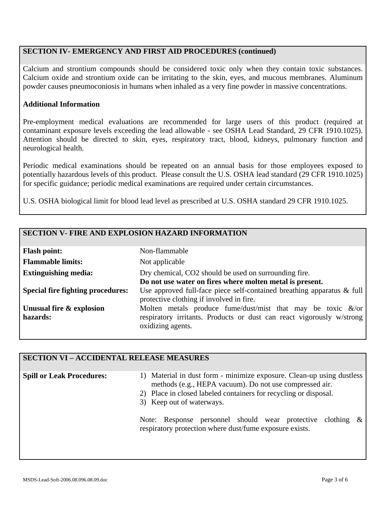#### **SECTION IV- EMERGENCY AND FIRST AID PROCEDURES (continued)**

Calcium and strontium compounds should be considered toxic only when they contain toxic substances. Calcium oxide and strontium oxide can be irritating to the skin, eyes, and mucous membranes. Aluminum powder causes pneumoconiosis in humans when inhaled as a very fine powder in massive concentrations.

#### **Additional Information**

Pre-employment medical evaluations are recommended for large users of this product (required at contaminant exposure levels exceeding the lead allowable - see OSHA Lead Standard, 29 CFR 1910.1025). Attention should be directed to skin, eyes, respiratory tract, blood, kidneys, pulmonary function and neurological health.

Periodic medical examinations should be repeated on an annual basis for those employees exposed to potentially hazardous levels of this product. Please consult the U.S. OSHA lead standard (29 CFR 1910.1025) for specific guidance; periodic medical examinations are required under certain circumstances.

U.S. OSHA biological limit for blood lead level as prescribed at U.S. OSHA standard 29 CFR 1910.1025.

#### **SECTION V- FIRE AND EXPLOSION HAZARD INFORMATION**

| <b>Flash point:</b>                      | Non-flammable                                                                                                      |
|------------------------------------------|--------------------------------------------------------------------------------------------------------------------|
| <b>Flammable limits:</b>                 | Not applicable                                                                                                     |
| <b>Extinguishing media:</b>              | Dry chemical, CO2 should be used on surrounding fire.                                                              |
|                                          | Do not use water on fires where molten metal is present.                                                           |
| <b>Special fire fighting procedures:</b> | Use approved full-face piece self-contained breathing apparatus & full<br>protective clothing if involved in fire. |
| Unusual fire $\&$ explosion              | Molten metals produce fume/dust/mist that may be toxic $\&$ /or                                                    |
| hazards:                                 | respiratory irritants. Products or dust can react vigorously w/strong<br>oxidizing agents.                         |

#### **SECTION VI – ACCIDENTAL RELEASE MEASURES**

| <b>Spill or Leak Procedures:</b> | 1) Material in dust form - minimize exposure. Clean-up using dustless<br>methods (e.g., HEPA vacuum). Do not use compressed air.<br>2) Place in closed labeled containers for recycling or disposal.<br>3) Keep out of waterways. |  |
|----------------------------------|-----------------------------------------------------------------------------------------------------------------------------------------------------------------------------------------------------------------------------------|--|
|                                  | Note: Response personnel should wear protective clothing &<br>respiratory protection where dust/fume exposure exists.                                                                                                             |  |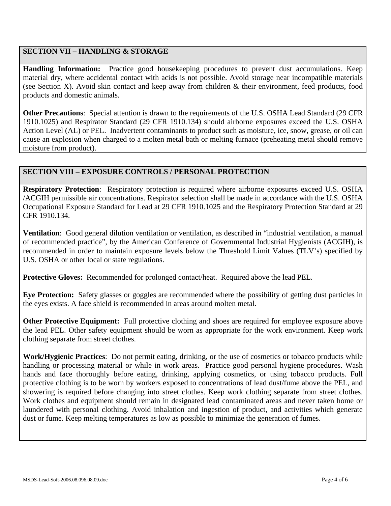#### **SECTION VII – HANDLING & STORAGE**

**Handling Information:** Practice good housekeeping procedures to prevent dust accumulations. Keep material dry, where accidental contact with acids is not possible. Avoid storage near incompatible materials (see Section X). Avoid skin contact and keep away from children & their environment, feed products, food products and domestic animals.

**Other Precautions**: Special attention is drawn to the requirements of the U.S. OSHA Lead Standard (29 CFR 1910.1025) and Respirator Standard (29 CFR 1910.134) should airborne exposures exceed the U.S. OSHA Action Level (AL) or PEL. Inadvertent contaminants to product such as moisture, ice, snow, grease, or oil can cause an explosion when charged to a molten metal bath or melting furnace (preheating metal should remove moisture from product).

#### **SECTION VIII – EXPOSURE CONTROLS / PERSONAL PROTECTION**

**Respiratory Protection**: Respiratory protection is required where airborne exposures exceed U.S. OSHA /ACGIH permissible air concentrations. Respirator selection shall be made in accordance with the U.S. OSHA Occupational Exposure Standard for Lead at 29 CFR 1910.1025 and the Respiratory Protection Standard at 29 CFR 1910.134.

**Ventilation**: Good general dilution ventilation or ventilation, as described in "industrial ventilation, a manual of recommended practice", by the American Conference of Governmental Industrial Hygienists (ACGIH), is recommended in order to maintain exposure levels below the Threshold Limit Values (TLV's) specified by U.S. OSHA or other local or state regulations.

**Protective Gloves:** Recommended for prolonged contact/heat. Required above the lead PEL.

**Eye Protection:** Safety glasses or goggles are recommended where the possibility of getting dust particles in the eyes exists. A face shield is recommended in areas around molten metal.

**Other Protective Equipment:** Full protective clothing and shoes are required for employee exposure above the lead PEL. Other safety equipment should be worn as appropriate for the work environment. Keep work clothing separate from street clothes.

**Work/Hygienic Practices**: Do not permit eating, drinking, or the use of cosmetics or tobacco products while handling or processing material or while in work areas. Practice good personal hygiene procedures. Wash hands and face thoroughly before eating, drinking, applying cosmetics, or using tobacco products. Full protective clothing is to be worn by workers exposed to concentrations of lead dust/fume above the PEL, and showering is required before changing into street clothes. Keep work clothing separate from street clothes. Work clothes and equipment should remain in designated lead contaminated areas and never taken home or laundered with personal clothing. Avoid inhalation and ingestion of product, and activities which generate dust or fume. Keep melting temperatures as low as possible to minimize the generation of fumes.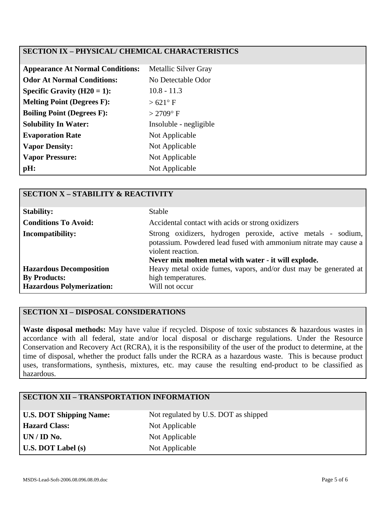#### **SECTION IX – PHYSICAL/ CHEMICAL CHARACTERISTICS**

| <b>Appearance At Normal Conditions:</b> | Metallic Silver Gray   |
|-----------------------------------------|------------------------|
| <b>Odor At Normal Conditions:</b>       | No Detectable Odor     |
| Specific Gravity $(H20 = 1)$ :          | $10.8 - 11.3$          |
| <b>Melting Point (Degrees F):</b>       | $>621^{\circ}$ F       |
| <b>Boiling Point (Degrees F):</b>       | $>$ 2709 $^{\circ}$ F  |
| <b>Solubility In Water:</b>             | Insoluble - negligible |
| <b>Evaporation Rate</b>                 | Not Applicable         |
| <b>Vapor Density:</b>                   | Not Applicable         |
| <b>Vapor Pressure:</b>                  | Not Applicable         |
| $pH$ :                                  | Not Applicable         |

| <b>SECTION X - STABILITY &amp; REACTIVITY</b>                                             |                                                                                                                                                                                                               |
|-------------------------------------------------------------------------------------------|---------------------------------------------------------------------------------------------------------------------------------------------------------------------------------------------------------------|
| <b>Stability:</b>                                                                         | <b>Stable</b>                                                                                                                                                                                                 |
| <b>Conditions To Avoid:</b>                                                               | Accidental contact with acids or strong oxidizers                                                                                                                                                             |
| <b>Incompatibility:</b>                                                                   | Strong oxidizers, hydrogen peroxide, active metals - sodium,<br>potassium. Powdered lead fused with ammonium nitrate may cause a<br>violent reaction.<br>Never mix molten metal with water - it will explode. |
| <b>Hazardous Decomposition</b><br><b>By Products:</b><br><b>Hazardous Polymerization:</b> | Heavy metal oxide fumes, vapors, and/or dust may be generated at<br>high temperatures.<br>Will not occur                                                                                                      |

#### **SECTION XI – DISPOSAL CONSIDERATIONS**

**Waste disposal methods:** May have value if recycled. Dispose of toxic substances & hazardous wastes in accordance with all federal, state and/or local disposal or discharge regulations. Under the Resource Conservation and Recovery Act (RCRA), it is the responsibility of the user of the product to determine, at the time of disposal, whether the product falls under the RCRA as a hazardous waste. This is because product uses, transformations, synthesis, mixtures, etc. may cause the resulting end-product to be classified as hazardous.

# **SECTION XII – TRANSPORTATION INFORMATION U.S. DOT Shipping Name:** Not regulated by U.S. DOT as shipped Hazard Class: Not Applicable **UN / ID No.** Not Applicable **U.S. DOT Label (s)** Not Applicable